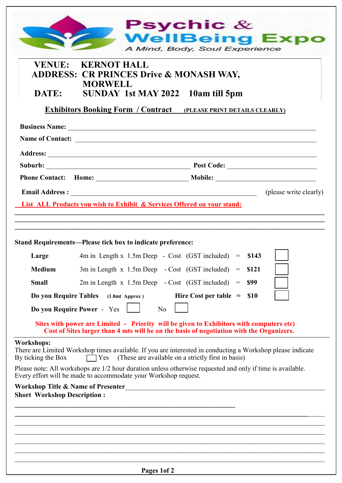|                                         | <b>VENUE: KERNOT HALL</b><br><b>ADDRESS: CR PRINCES Drive &amp; MONASH WAY,</b>                                                                                                     |
|-----------------------------------------|-------------------------------------------------------------------------------------------------------------------------------------------------------------------------------------|
|                                         | <b>MORWELL</b>                                                                                                                                                                      |
| DATE:                                   | SUNDAY 1st MAY 2022 10am till 5pm                                                                                                                                                   |
|                                         | <b>Exhibitors Booking Form / Contract (PLEASE PRINT DETAILS CLEARLY)</b>                                                                                                            |
|                                         |                                                                                                                                                                                     |
|                                         |                                                                                                                                                                                     |
|                                         |                                                                                                                                                                                     |
|                                         |                                                                                                                                                                                     |
|                                         |                                                                                                                                                                                     |
|                                         | (please write clearly)                                                                                                                                                              |
|                                         | <b>List ALL Products you wish to Exhibit &amp; Services Offered on your stand:</b>                                                                                                  |
| Large<br><b>Medium</b>                  | $4m$ in Length x 1.5m Deep - Cost (GST included) = \$143<br>3m in Length x 1.5m Deep - Cost (GST included)<br>\$121<br>$=$                                                          |
| <b>Small</b>                            | $2m$ in Length x 1.5m Deep - Cost (GST included)<br>\$99<br>$=$                                                                                                                     |
| Do you Require Tables                   | Hire Cost per table $=$<br><b>S10</b><br>$(1.8mt$ Approx)                                                                                                                           |
|                                         | Do you Require Power - Yes<br>No                                                                                                                                                    |
|                                         | Sites with power are Limited - Priority will be given to Exhibitors with computers etc)<br>Cost of Sites larger than 4 mts will be on the basis of negotiation with the Organizers. |
| <b>Workshops:</b><br>By ticking the Box | There are Limited Workshop times available. If you are interested in conducting a Workshop please indicate<br>(These are available on a strictly first in basis)<br>$\Box$ Yes      |
|                                         | Please note: All workshops are 1/2 hour duration unless otherwise requested and only if time is available.<br>Every effort will be made to accommodate your Workshop request.       |
|                                         | <b>Workshop Title &amp; Name of Presenter</b>                                                                                                                                       |
| <b>Short Workshop Description:</b>      |                                                                                                                                                                                     |
|                                         |                                                                                                                                                                                     |
|                                         |                                                                                                                                                                                     |
|                                         |                                                                                                                                                                                     |
|                                         |                                                                                                                                                                                     |
|                                         |                                                                                                                                                                                     |
|                                         |                                                                                                                                                                                     |